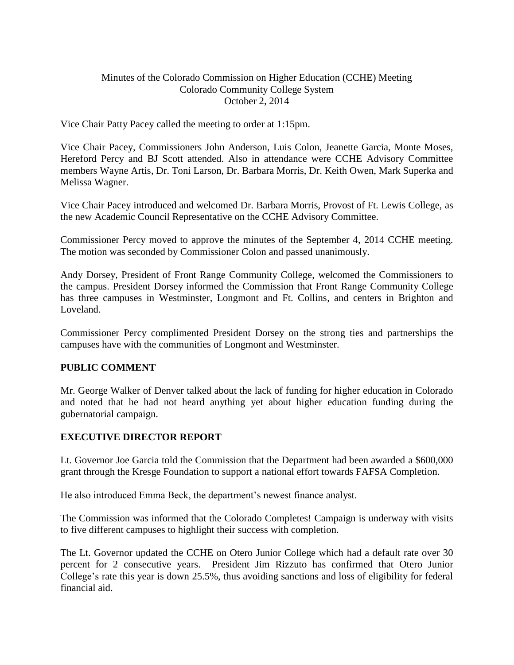### Minutes of the Colorado Commission on Higher Education (CCHE) Meeting Colorado Community College System October 2, 2014

Vice Chair Patty Pacey called the meeting to order at 1:15pm.

Vice Chair Pacey, Commissioners John Anderson, Luis Colon, Jeanette Garcia, Monte Moses, Hereford Percy and BJ Scott attended. Also in attendance were CCHE Advisory Committee members Wayne Artis, Dr. Toni Larson, Dr. Barbara Morris, Dr. Keith Owen, Mark Superka and Melissa Wagner.

Vice Chair Pacey introduced and welcomed Dr. Barbara Morris, Provost of Ft. Lewis College, as the new Academic Council Representative on the CCHE Advisory Committee.

Commissioner Percy moved to approve the minutes of the September 4, 2014 CCHE meeting. The motion was seconded by Commissioner Colon and passed unanimously.

Andy Dorsey, President of Front Range Community College, welcomed the Commissioners to the campus. President Dorsey informed the Commission that Front Range Community College has three campuses in Westminster, Longmont and Ft. Collins, and centers in Brighton and Loveland.

Commissioner Percy complimented President Dorsey on the strong ties and partnerships the campuses have with the communities of Longmont and Westminster.

#### **PUBLIC COMMENT**

Mr. George Walker of Denver talked about the lack of funding for higher education in Colorado and noted that he had not heard anything yet about higher education funding during the gubernatorial campaign.

# **EXECUTIVE DIRECTOR REPORT**

Lt. Governor Joe Garcia told the Commission that the Department had been awarded a \$600,000 grant through the Kresge Foundation to support a national effort towards FAFSA Completion.

He also introduced Emma Beck, the department's newest finance analyst.

The Commission was informed that the Colorado Completes! Campaign is underway with visits to five different campuses to highlight their success with completion.

The Lt. Governor updated the CCHE on Otero Junior College which had a default rate over 30 percent for 2 consecutive years. President Jim Rizzuto has confirmed that Otero Junior College's rate this year is down 25.5%, thus avoiding sanctions and loss of eligibility for federal financial aid.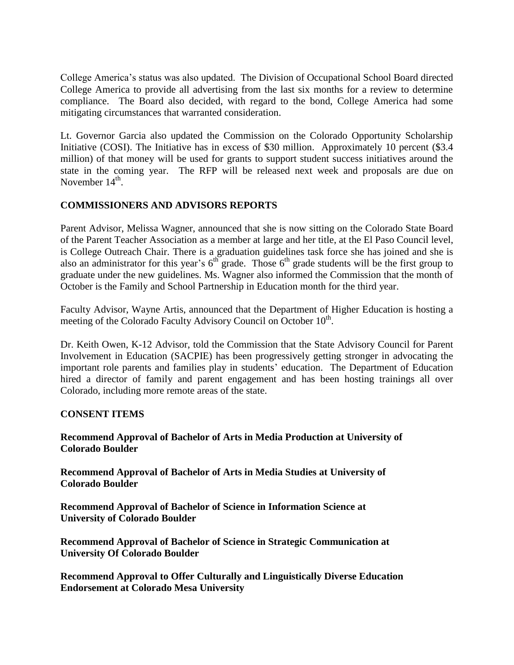College America's status was also updated. The Division of Occupational School Board directed College America to provide all advertising from the last six months for a review to determine compliance. The Board also decided, with regard to the bond, College America had some mitigating circumstances that warranted consideration.

Lt. Governor Garcia also updated the Commission on the Colorado Opportunity Scholarship Initiative (COSI). The Initiative has in excess of \$30 million. Approximately 10 percent (\$3.4 million) of that money will be used for grants to support student success initiatives around the state in the coming year. The RFP will be released next week and proposals are due on November 14<sup>th</sup>.

# **COMMISSIONERS AND ADVISORS REPORTS**

Parent Advisor, Melissa Wagner, announced that she is now sitting on the Colorado State Board of the Parent Teacher Association as a member at large and her title, at the El Paso Council level, is College Outreach Chair. There is a graduation guidelines task force she has joined and she is also an administrator for this year's  $6^{th}$  grade. Those  $6^{th}$  grade students will be the first group to graduate under the new guidelines. Ms. Wagner also informed the Commission that the month of October is the Family and School Partnership in Education month for the third year.

Faculty Advisor, Wayne Artis, announced that the Department of Higher Education is hosting a meeting of the Colorado Faculty Advisory Council on October 10<sup>th</sup>.

Dr. Keith Owen, K-12 Advisor, told the Commission that the State Advisory Council for Parent Involvement in Education (SACPIE) has been progressively getting stronger in advocating the important role parents and families play in students' education. The Department of Education hired a director of family and parent engagement and has been hosting trainings all over Colorado, including more remote areas of the state.

# **CONSENT ITEMS**

### **Recommend Approval of Bachelor of Arts in Media Production at University of Colorado Boulder**

**Recommend Approval of Bachelor of Arts in Media Studies at University of Colorado Boulder** 

**Recommend Approval of Bachelor of Science in Information Science at University of Colorado Boulder**

**Recommend Approval of Bachelor of Science in Strategic Communication at University Of Colorado Boulder**

**Recommend Approval to Offer Culturally and Linguistically Diverse Education Endorsement at Colorado Mesa University**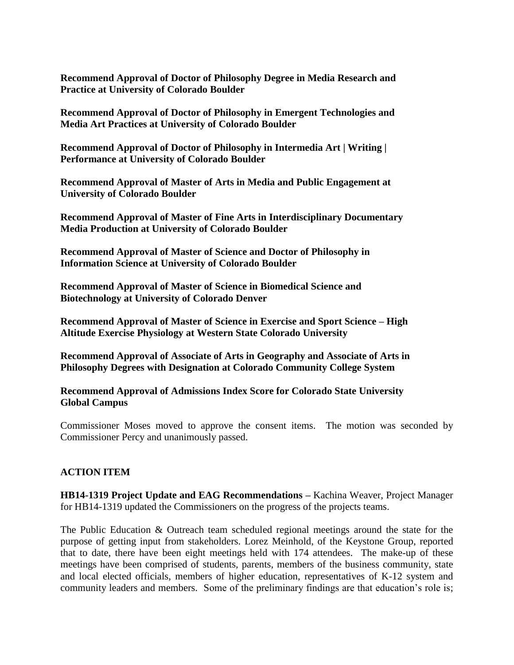**Recommend Approval of Doctor of Philosophy Degree in Media Research and Practice at University of Colorado Boulder**

**Recommend Approval of Doctor of Philosophy in Emergent Technologies and Media Art Practices at University of Colorado Boulder**

**Recommend Approval of Doctor of Philosophy in Intermedia Art | Writing | Performance at University of Colorado Boulder**

**Recommend Approval of Master of Arts in Media and Public Engagement at University of Colorado Boulder**

**Recommend Approval of Master of Fine Arts in Interdisciplinary Documentary Media Production at University of Colorado Boulder**

**Recommend Approval of Master of Science and Doctor of Philosophy in Information Science at University of Colorado Boulder**

**Recommend Approval of Master of Science in Biomedical Science and Biotechnology at University of Colorado Denver**

**Recommend Approval of Master of Science in Exercise and Sport Science – High Altitude Exercise Physiology at Western State Colorado University**

**Recommend Approval of Associate of Arts in Geography and Associate of Arts in Philosophy Degrees with Designation at Colorado Community College System**

**Recommend Approval of Admissions Index Score for Colorado State University Global Campus** 

Commissioner Moses moved to approve the consent items. The motion was seconded by Commissioner Percy and unanimously passed.

#### **ACTION ITEM**

**HB14-1319 [Project Update and EAG Recommendations](http://highered.colorado.gov/CCHE/Meetings/2014/oct/Agenda%20Item%20IV%20A%20HB%2014-1319%20Update.pdf) –** Kachina Weaver, Project Manager for HB14-1319 updated the Commissioners on the progress of the projects teams.

The Public Education & Outreach team scheduled regional meetings around the state for the purpose of getting input from stakeholders. Lorez Meinhold, of the Keystone Group, reported that to date, there have been eight meetings held with 174 attendees. The make-up of these meetings have been comprised of students, parents, members of the business community, state and local elected officials, members of higher education, representatives of K-12 system and community leaders and members. Some of the preliminary findings are that education's role is;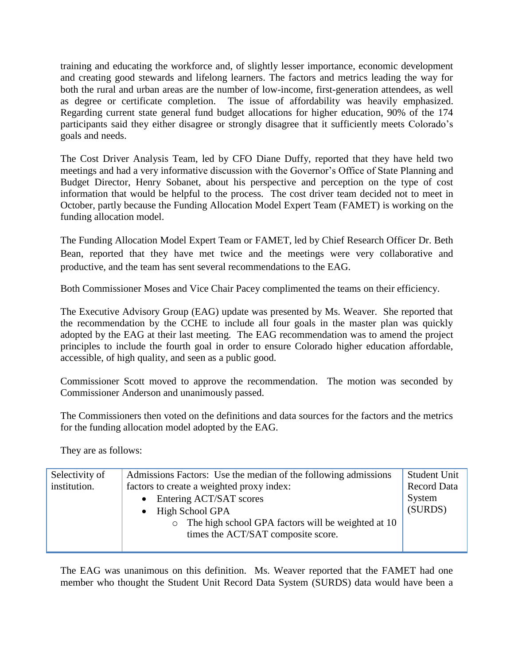training and educating the workforce and, of slightly lesser importance, economic development and creating good stewards and lifelong learners. The factors and metrics leading the way for both the rural and urban areas are the number of low-income, first-generation attendees, as well as degree or certificate completion. The issue of affordability was heavily emphasized. Regarding current state general fund budget allocations for higher education, 90% of the 174 participants said they either disagree or strongly disagree that it sufficiently meets Colorado's goals and needs.

The Cost Driver Analysis Team, led by CFO Diane Duffy, reported that they have held two meetings and had a very informative discussion with the Governor's Office of State Planning and Budget Director, Henry Sobanet, about his perspective and perception on the type of cost information that would be helpful to the process. The cost driver team decided not to meet in October, partly because the Funding Allocation Model Expert Team (FAMET) is working on the funding allocation model.

The Funding Allocation Model Expert Team or FAMET, led by Chief Research Officer Dr. Beth Bean, reported that they have met twice and the meetings were very collaborative and productive, and the team has sent several recommendations to the EAG.

Both Commissioner Moses and Vice Chair Pacey complimented the teams on their efficiency.

The Executive Advisory Group (EAG) update was presented by Ms. Weaver. She reported that the recommendation by the CCHE to include all four goals in the master plan was quickly adopted by the EAG at their last meeting. The EAG recommendation was to amend the project principles to include the fourth goal in order to ensure Colorado higher education affordable, accessible, of high quality, and seen as a public good.

Commissioner Scott moved to approve the recommendation. The motion was seconded by Commissioner Anderson and unanimously passed.

The Commissioners then voted on the definitions and data sources for the factors and the metrics for the funding allocation model adopted by the EAG.

They are as follows:

| Selectivity of | Admissions Factors: Use the median of the following admissions | <b>Student Unit</b> |
|----------------|----------------------------------------------------------------|---------------------|
| institution.   | factors to create a weighted proxy index:                      | <b>Record Data</b>  |
|                | Entering ACT/SAT scores                                        | System              |
|                | High School GPA                                                | (SURDS)             |
|                | The high school GPA factors will be weighted at 10             |                     |
|                | times the ACT/SAT composite score.                             |                     |
|                |                                                                |                     |

The EAG was unanimous on this definition. Ms. Weaver reported that the FAMET had one member who thought the Student Unit Record Data System (SURDS) data would have been a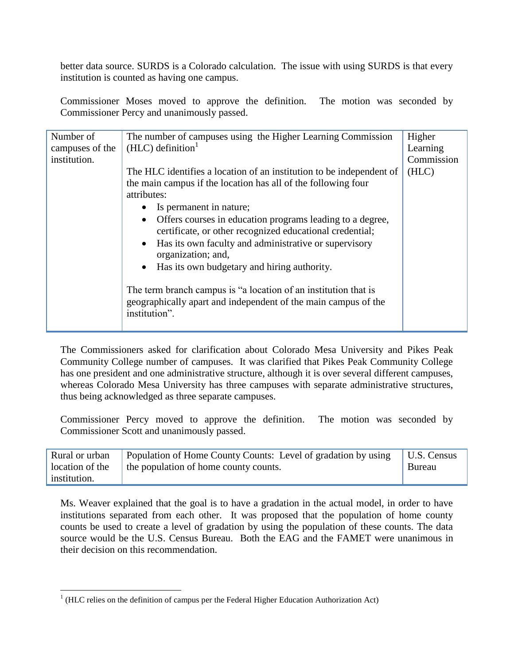better data source. SURDS is a Colorado calculation. The issue with using SURDS is that every institution is counted as having one campus.

Commissioner Moses moved to approve the definition. The motion was seconded by Commissioner Percy and unanimously passed.

| Number of<br>The number of campuses using the Higher Learning Commission<br>$(HLC)$ definition <sup>1</sup><br>campuses of the<br>institution.<br>the main campus if the location has all of the following four<br>attributes:<br>Is permanent in nature;<br>$\bullet$<br>$\bullet$<br>organization; and,<br>Has its own budgetary and hiring authority.<br>$\bullet$<br>The term branch campus is "a location of an institution that is<br>institution". | The HLC identifies a location of an institution to be independent of<br>Offers courses in education programs leading to a degree,<br>certificate, or other recognized educational credential;<br>• Has its own faculty and administrative or supervisory<br>geographically apart and independent of the main campus of the | Higher<br>Learning<br>Commission<br>(HLC) |
|-----------------------------------------------------------------------------------------------------------------------------------------------------------------------------------------------------------------------------------------------------------------------------------------------------------------------------------------------------------------------------------------------------------------------------------------------------------|----------------------------------------------------------------------------------------------------------------------------------------------------------------------------------------------------------------------------------------------------------------------------------------------------------------------------|-------------------------------------------|
|-----------------------------------------------------------------------------------------------------------------------------------------------------------------------------------------------------------------------------------------------------------------------------------------------------------------------------------------------------------------------------------------------------------------------------------------------------------|----------------------------------------------------------------------------------------------------------------------------------------------------------------------------------------------------------------------------------------------------------------------------------------------------------------------------|-------------------------------------------|

The Commissioners asked for clarification about Colorado Mesa University and Pikes Peak Community College number of campuses. It was clarified that Pikes Peak Community College has one president and one administrative structure, although it is over several different campuses, whereas Colorado Mesa University has three campuses with separate administrative structures, thus being acknowledged as three separate campuses.

Commissioner Percy moved to approve the definition. The motion was seconded by Commissioner Scott and unanimously passed.

| location of the | Rural or urban Population of Home County Counts: Level of gradation by using U.S. Census<br>the population of home county counts. | Bureau |
|-----------------|-----------------------------------------------------------------------------------------------------------------------------------|--------|
| institution.    |                                                                                                                                   |        |

Ms. Weaver explained that the goal is to have a gradation in the actual model, in order to have institutions separated from each other. It was proposed that the population of home county counts be used to create a level of gradation by using the population of these counts. The data source would be the U.S. Census Bureau. Both the EAG and the FAMET were unanimous in their decision on this recommendation.

<sup>&</sup>lt;sup>1</sup> (HLC relies on the definition of campus per the Federal Higher Education Authorization Act)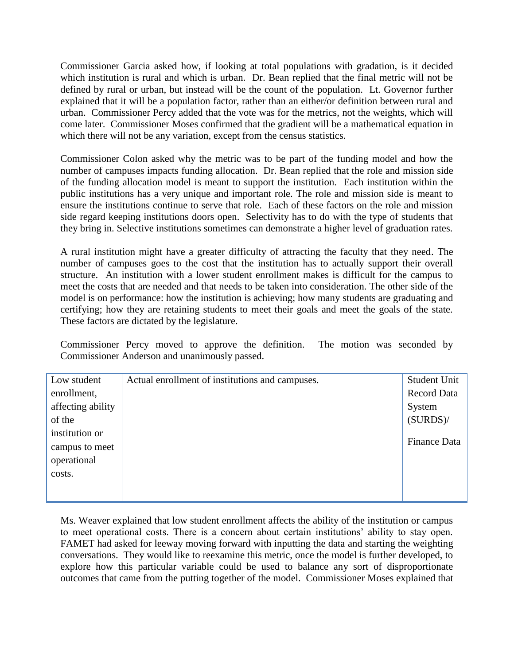Commissioner Garcia asked how, if looking at total populations with gradation, is it decided which institution is rural and which is urban. Dr. Bean replied that the final metric will not be defined by rural or urban, but instead will be the count of the population. Lt. Governor further explained that it will be a population factor, rather than an either/or definition between rural and urban. Commissioner Percy added that the vote was for the metrics, not the weights, which will come later. Commissioner Moses confirmed that the gradient will be a mathematical equation in which there will not be any variation, except from the census statistics.

Commissioner Colon asked why the metric was to be part of the funding model and how the number of campuses impacts funding allocation. Dr. Bean replied that the role and mission side of the funding allocation model is meant to support the institution. Each institution within the public institutions has a very unique and important role. The role and mission side is meant to ensure the institutions continue to serve that role. Each of these factors on the role and mission side regard keeping institutions doors open. Selectivity has to do with the type of students that they bring in. Selective institutions sometimes can demonstrate a higher level of graduation rates.

A rural institution might have a greater difficulty of attracting the faculty that they need. The number of campuses goes to the cost that the institution has to actually support their overall structure. An institution with a lower student enrollment makes is difficult for the campus to meet the costs that are needed and that needs to be taken into consideration. The other side of the model is on performance: how the institution is achieving; how many students are graduating and certifying; how they are retaining students to meet their goals and meet the goals of the state. These factors are dictated by the legislature.

Commissioner Percy moved to approve the definition. The motion was seconded by Commissioner Anderson and unanimously passed.

| Low student       | Actual enrollment of institutions and campuses. | Student Unit        |
|-------------------|-------------------------------------------------|---------------------|
| enrollment,       |                                                 | <b>Record Data</b>  |
| affecting ability |                                                 | System              |
| of the            |                                                 | (SURDS)             |
| institution or    |                                                 |                     |
| campus to meet    |                                                 | <b>Finance Data</b> |
| operational       |                                                 |                     |
| costs.            |                                                 |                     |
|                   |                                                 |                     |
|                   |                                                 |                     |

Ms. Weaver explained that low student enrollment affects the ability of the institution or campus to meet operational costs. There is a concern about certain institutions' ability to stay open. FAMET had asked for leeway moving forward with inputting the data and starting the weighting conversations. They would like to reexamine this metric, once the model is further developed, to explore how this particular variable could be used to balance any sort of disproportionate outcomes that came from the putting together of the model. Commissioner Moses explained that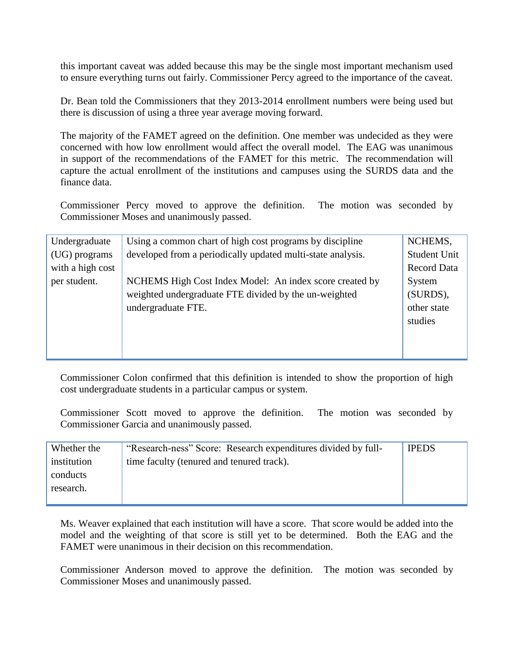this important caveat was added because this may be the single most important mechanism used to ensure everything turns out fairly. Commissioner Percy agreed to the importance of the caveat.

Dr. Bean told the Commissioners that they 2013-2014 enrollment numbers were being used but there is discussion of using a three year average moving forward.

The majority of the FAMET agreed on the definition. One member was undecided as they were concerned with how low enrollment would affect the overall model. The EAG was unanimous in support of the recommendations of the FAMET for this metric. The recommendation will capture the actual enrollment of the institutions and campuses using the SURDS data and the finance data.

Commissioner Percy moved to approve the definition. The motion was seconded by Commissioner Moses and unanimously passed.

| Undergraduate    | Using a common chart of high cost programs by discipline    | NCHEMS,             |
|------------------|-------------------------------------------------------------|---------------------|
| (UG) programs    | developed from a periodically updated multi-state analysis. | <b>Student Unit</b> |
| with a high cost |                                                             | <b>Record Data</b>  |
| per student.     | NCHEMS High Cost Index Model: An index score created by     | System              |
|                  | weighted undergraduate FTE divided by the un-weighted       | (SURDS),            |
|                  | undergraduate FTE.                                          | other state         |
|                  |                                                             | studies             |
|                  |                                                             |                     |
|                  |                                                             |                     |
|                  |                                                             |                     |

Commissioner Colon confirmed that this definition is intended to show the proportion of high cost undergraduate students in a particular campus or system.

Commissioner Scott moved to approve the definition. The motion was seconded by Commissioner Garcia and unanimously passed.

| Whether the | "Research-ness" Score: Research expenditures divided by full- | <b>IPEDS</b> |
|-------------|---------------------------------------------------------------|--------------|
| institution | time faculty (tenured and tenured track).                     |              |
| conducts    |                                                               |              |
| research.   |                                                               |              |
|             |                                                               |              |

Ms. Weaver explained that each institution will have a score. That score would be added into the model and the weighting of that score is still yet to be determined. Both the EAG and the FAMET were unanimous in their decision on this recommendation.

Commissioner Anderson moved to approve the definition. The motion was seconded by Commissioner Moses and unanimously passed.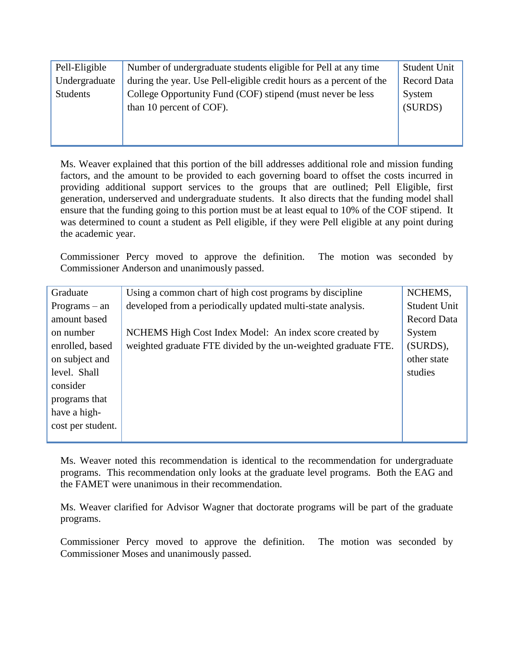| Pell-Eligible | Number of undergraduate students eligible for Pell at any time      | <b>Student Unit</b> |
|---------------|---------------------------------------------------------------------|---------------------|
| Undergraduate | during the year. Use Pell-eligible credit hours as a percent of the | <b>Record Data</b>  |
| Students      | College Opportunity Fund (COF) stipend (must never be less          | System              |
|               | than 10 percent of COF).                                            | (SURDS)             |
|               |                                                                     |                     |
|               |                                                                     |                     |
|               |                                                                     |                     |

Ms. Weaver explained that this portion of the bill addresses additional role and mission funding factors, and the amount to be provided to each governing board to offset the costs incurred in providing additional support services to the groups that are outlined; Pell Eligible, first generation, underserved and undergraduate students. It also directs that the funding model shall ensure that the funding going to this portion must be at least equal to 10% of the COF stipend. It was determined to count a student as Pell eligible, if they were Pell eligible at any point during the academic year.

Commissioner Percy moved to approve the definition. The motion was seconded by Commissioner Anderson and unanimously passed.

| Graduate          | Using a common chart of high cost programs by discipline       | NCHEMS,             |
|-------------------|----------------------------------------------------------------|---------------------|
| $Programs - an$   | developed from a periodically updated multi-state analysis.    | <b>Student Unit</b> |
| amount based      |                                                                | <b>Record Data</b>  |
| on number         | NCHEMS High Cost Index Model: An index score created by        | System              |
| enrolled, based   | weighted graduate FTE divided by the un-weighted graduate FTE. | (SURDS),            |
| on subject and    |                                                                | other state         |
| level. Shall      |                                                                | studies             |
| consider          |                                                                |                     |
| programs that     |                                                                |                     |
| have a high-      |                                                                |                     |
| cost per student. |                                                                |                     |
|                   |                                                                |                     |

Ms. Weaver noted this recommendation is identical to the recommendation for undergraduate programs. This recommendation only looks at the graduate level programs. Both the EAG and the FAMET were unanimous in their recommendation.

Ms. Weaver clarified for Advisor Wagner that doctorate programs will be part of the graduate programs.

Commissioner Percy moved to approve the definition. The motion was seconded by Commissioner Moses and unanimously passed.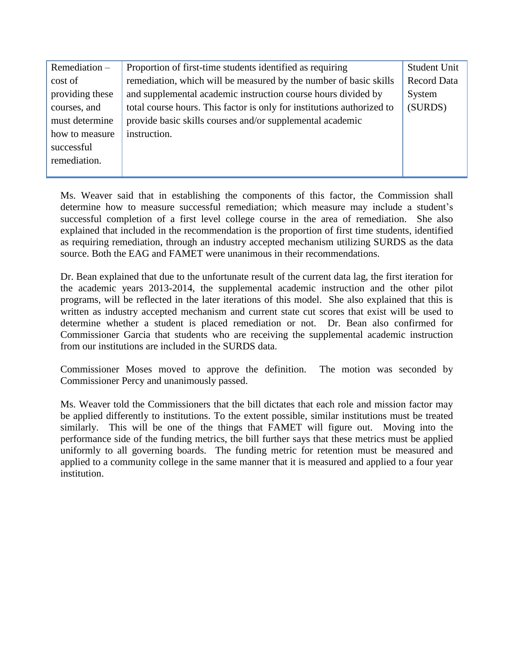| Remediation $-$ | Proportion of first-time students identified as requiring              | <b>Student Unit</b> |
|-----------------|------------------------------------------------------------------------|---------------------|
| cost of         | remediation, which will be measured by the number of basic skills      | <b>Record Data</b>  |
| providing these | and supplemental academic instruction course hours divided by          | System              |
| courses, and    | total course hours. This factor is only for institutions authorized to | (SURDS)             |
| must determine  | provide basic skills courses and/or supplemental academic              |                     |
| how to measure  | instruction.                                                           |                     |
| successful      |                                                                        |                     |
| remediation.    |                                                                        |                     |
|                 |                                                                        |                     |

Ms. Weaver said that in establishing the components of this factor, the Commission shall determine how to measure successful remediation; which measure may include a student's successful completion of a first level college course in the area of remediation. She also explained that included in the recommendation is the proportion of first time students, identified as requiring remediation, through an industry accepted mechanism utilizing SURDS as the data source. Both the EAG and FAMET were unanimous in their recommendations.

Dr. Bean explained that due to the unfortunate result of the current data lag, the first iteration for the academic years 2013-2014, the supplemental academic instruction and the other pilot programs, will be reflected in the later iterations of this model. She also explained that this is written as industry accepted mechanism and current state cut scores that exist will be used to determine whether a student is placed remediation or not. Dr. Bean also confirmed for Commissioner Garcia that students who are receiving the supplemental academic instruction from our institutions are included in the SURDS data.

Commissioner Moses moved to approve the definition. The motion was seconded by Commissioner Percy and unanimously passed.

Ms. Weaver told the Commissioners that the bill dictates that each role and mission factor may be applied differently to institutions. To the extent possible, similar institutions must be treated similarly. This will be one of the things that FAMET will figure out. Moving into the performance side of the funding metrics, the bill further says that these metrics must be applied uniformly to all governing boards. The funding metric for retention must be measured and applied to a community college in the same manner that it is measured and applied to a four year institution.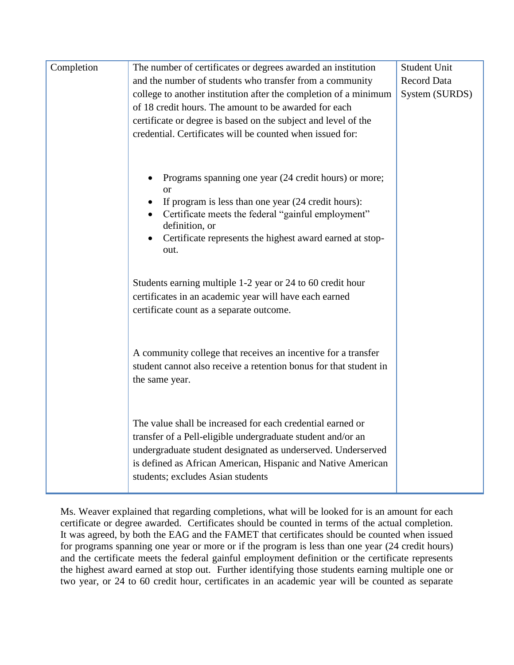| Completion | The number of certificates or degrees awarded an institution                                                                                                                                                                                                                                                                                                                                                                                                                                                                                                                                          | <b>Student Unit</b> |
|------------|-------------------------------------------------------------------------------------------------------------------------------------------------------------------------------------------------------------------------------------------------------------------------------------------------------------------------------------------------------------------------------------------------------------------------------------------------------------------------------------------------------------------------------------------------------------------------------------------------------|---------------------|
|            | and the number of students who transfer from a community                                                                                                                                                                                                                                                                                                                                                                                                                                                                                                                                              | <b>Record Data</b>  |
|            | college to another institution after the completion of a minimum                                                                                                                                                                                                                                                                                                                                                                                                                                                                                                                                      | System (SURDS)      |
|            | of 18 credit hours. The amount to be awarded for each                                                                                                                                                                                                                                                                                                                                                                                                                                                                                                                                                 |                     |
|            | certificate or degree is based on the subject and level of the                                                                                                                                                                                                                                                                                                                                                                                                                                                                                                                                        |                     |
|            | credential. Certificates will be counted when issued for:                                                                                                                                                                                                                                                                                                                                                                                                                                                                                                                                             |                     |
|            | Programs spanning one year (24 credit hours) or more;<br><sub>or</sub><br>If program is less than one year (24 credit hours):<br>Certificate meets the federal "gainful employment"<br>definition, or<br>Certificate represents the highest award earned at stop-<br>out.<br>Students earning multiple 1-2 year or 24 to 60 credit hour<br>certificates in an academic year will have each earned<br>certificate count as a separate outcome.<br>A community college that receives an incentive for a transfer<br>student cannot also receive a retention bonus for that student in<br>the same year. |                     |
|            | The value shall be increased for each credential earned or<br>transfer of a Pell-eligible undergraduate student and/or an                                                                                                                                                                                                                                                                                                                                                                                                                                                                             |                     |
|            | undergraduate student designated as underserved. Underserved                                                                                                                                                                                                                                                                                                                                                                                                                                                                                                                                          |                     |
|            | is defined as African American, Hispanic and Native American                                                                                                                                                                                                                                                                                                                                                                                                                                                                                                                                          |                     |
|            | students; excludes Asian students                                                                                                                                                                                                                                                                                                                                                                                                                                                                                                                                                                     |                     |
|            |                                                                                                                                                                                                                                                                                                                                                                                                                                                                                                                                                                                                       |                     |

Ms. Weaver explained that regarding completions, what will be looked for is an amount for each certificate or degree awarded. Certificates should be counted in terms of the actual completion. It was agreed, by both the EAG and the FAMET that certificates should be counted when issued for programs spanning one year or more or if the program is less than one year (24 credit hours) and the certificate meets the federal gainful employment definition or the certificate represents the highest award earned at stop out. Further identifying those students earning multiple one or two year, or 24 to 60 credit hour, certificates in an academic year will be counted as separate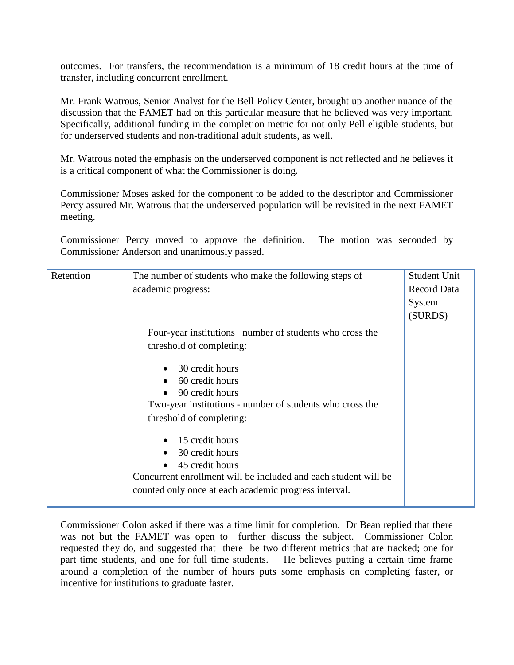outcomes. For transfers, the recommendation is a minimum of 18 credit hours at the time of transfer, including concurrent enrollment.

Mr. Frank Watrous, Senior Analyst for the Bell Policy Center, brought up another nuance of the discussion that the FAMET had on this particular measure that he believed was very important. Specifically, additional funding in the completion metric for not only Pell eligible students, but for underserved students and non-traditional adult students, as well.

Mr. Watrous noted the emphasis on the underserved component is not reflected and he believes it is a critical component of what the Commissioner is doing.

Commissioner Moses asked for the component to be added to the descriptor and Commissioner Percy assured Mr. Watrous that the underserved population will be revisited in the next FAMET meeting.

Commissioner Percy moved to approve the definition. The motion was seconded by Commissioner Anderson and unanimously passed.

| Retention | The number of students who make the following steps of          | <b>Student Unit</b> |
|-----------|-----------------------------------------------------------------|---------------------|
|           | academic progress:                                              | <b>Record Data</b>  |
|           |                                                                 | System              |
|           |                                                                 | (SURDS)             |
|           | Four-year institutions –number of students who cross the        |                     |
|           | threshold of completing:                                        |                     |
|           | 30 credit hours                                                 |                     |
|           | 60 credit hours                                                 |                     |
|           | 90 credit hours                                                 |                     |
|           | Two-year institutions - number of students who cross the        |                     |
|           | threshold of completing:                                        |                     |
|           | 15 credit hours                                                 |                     |
|           | 30 credit hours                                                 |                     |
|           | 45 credit hours                                                 |                     |
|           | Concurrent enrollment will be included and each student will be |                     |
|           | counted only once at each academic progress interval.           |                     |

Commissioner Colon asked if there was a time limit for completion. Dr Bean replied that there was not but the FAMET was open to further discuss the subject. Commissioner Colon requested they do, and suggested that there be two different metrics that are tracked; one for part time students, and one for full time students. He believes putting a certain time frame around a completion of the number of hours puts some emphasis on completing faster, or incentive for institutions to graduate faster.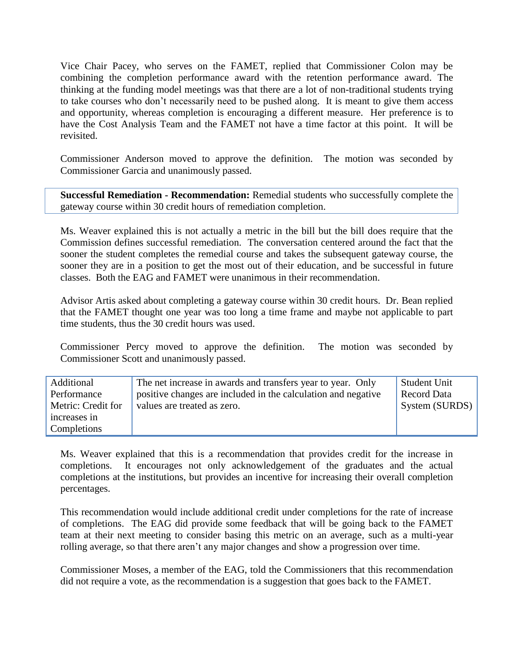Vice Chair Pacey, who serves on the FAMET, replied that Commissioner Colon may be combining the completion performance award with the retention performance award. The thinking at the funding model meetings was that there are a lot of non-traditional students trying to take courses who don't necessarily need to be pushed along. It is meant to give them access and opportunity, whereas completion is encouraging a different measure. Her preference is to have the Cost Analysis Team and the FAMET not have a time factor at this point. It will be revisited.

Commissioner Anderson moved to approve the definition. The motion was seconded by Commissioner Garcia and unanimously passed.

**Successful Remediation - Recommendation:** Remedial students who successfully complete the gateway course within 30 credit hours of remediation completion.

Ms. Weaver explained this is not actually a metric in the bill but the bill does require that the Commission defines successful remediation. The conversation centered around the fact that the sooner the student completes the remedial course and takes the subsequent gateway course, the sooner they are in a position to get the most out of their education, and be successful in future classes. Both the EAG and FAMET were unanimous in their recommendation.

Advisor Artis asked about completing a gateway course within 30 credit hours. Dr. Bean replied that the FAMET thought one year was too long a time frame and maybe not applicable to part time students, thus the 30 credit hours was used.

Commissioner Percy moved to approve the definition. The motion was seconded by Commissioner Scott and unanimously passed.

| Additional         | The net increase in awards and transfers year to year. Only   | Student Unit   |
|--------------------|---------------------------------------------------------------|----------------|
| Performance        | positive changes are included in the calculation and negative | Record Data    |
| Metric: Credit for | values are treated as zero.                                   | System (SURDS) |
| increases in       |                                                               |                |
| Completions        |                                                               |                |

Ms. Weaver explained that this is a recommendation that provides credit for the increase in completions. It encourages not only acknowledgement of the graduates and the actual completions at the institutions, but provides an incentive for increasing their overall completion percentages.

This recommendation would include additional credit under completions for the rate of increase of completions. The EAG did provide some feedback that will be going back to the FAMET team at their next meeting to consider basing this metric on an average, such as a multi-year rolling average, so that there aren't any major changes and show a progression over time.

Commissioner Moses, a member of the EAG, told the Commissioners that this recommendation did not require a vote, as the recommendation is a suggestion that goes back to the FAMET.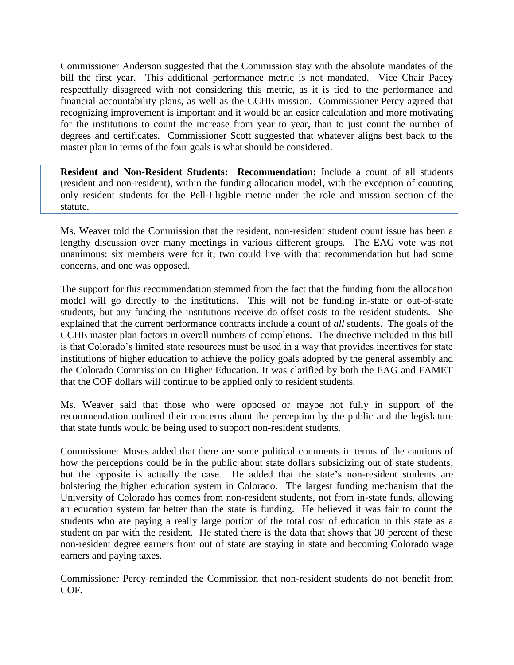Commissioner Anderson suggested that the Commission stay with the absolute mandates of the bill the first year. This additional performance metric is not mandated. Vice Chair Pacey respectfully disagreed with not considering this metric, as it is tied to the performance and financial accountability plans, as well as the CCHE mission. Commissioner Percy agreed that recognizing improvement is important and it would be an easier calculation and more motivating for the institutions to count the increase from year to year, than to just count the number of degrees and certificates. Commissioner Scott suggested that whatever aligns best back to the master plan in terms of the four goals is what should be considered.

**Resident and Non-Resident Students: Recommendation:** Include a count of all students (resident and non-resident), within the funding allocation model, with the exception of counting only resident students for the Pell-Eligible metric under the role and mission section of the statute.

Ms. Weaver told the Commission that the resident, non-resident student count issue has been a lengthy discussion over many meetings in various different groups. The EAG vote was not unanimous: six members were for it; two could live with that recommendation but had some concerns, and one was opposed.

The support for this recommendation stemmed from the fact that the funding from the allocation model will go directly to the institutions. This will not be funding in-state or out-of-state students, but any funding the institutions receive do offset costs to the resident students. She explained that the current performance contracts include a count of *all* students. The goals of the CCHE master plan factors in overall numbers of completions. The directive included in this bill is that Colorado's limited state resources must be used in a way that provides incentives for state institutions of higher education to achieve the policy goals adopted by the general assembly and the Colorado Commission on Higher Education. It was clarified by both the EAG and FAMET that the COF dollars will continue to be applied only to resident students.

Ms. Weaver said that those who were opposed or maybe not fully in support of the recommendation outlined their concerns about the perception by the public and the legislature that state funds would be being used to support non-resident students.

Commissioner Moses added that there are some political comments in terms of the cautions of how the perceptions could be in the public about state dollars subsidizing out of state students, but the opposite is actually the case. He added that the state's non-resident students are bolstering the higher education system in Colorado. The largest funding mechanism that the University of Colorado has comes from non-resident students, not from in-state funds, allowing an education system far better than the state is funding. He believed it was fair to count the students who are paying a really large portion of the total cost of education in this state as a student on par with the resident. He stated there is the data that shows that 30 percent of these non-resident degree earners from out of state are staying in state and becoming Colorado wage earners and paying taxes.

Commissioner Percy reminded the Commission that non-resident students do not benefit from COF.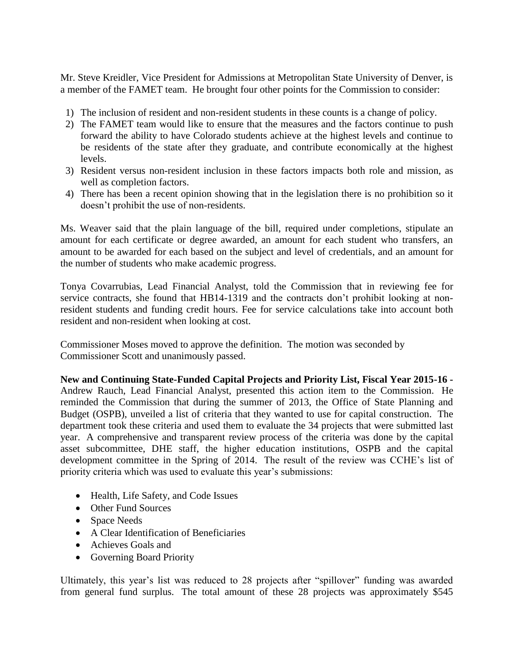Mr. Steve Kreidler, Vice President for Admissions at Metropolitan State University of Denver, is a member of the FAMET team. He brought four other points for the Commission to consider:

- 1) The inclusion of resident and non-resident students in these counts is a change of policy.
- 2) The FAMET team would like to ensure that the measures and the factors continue to push forward the ability to have Colorado students achieve at the highest levels and continue to be residents of the state after they graduate, and contribute economically at the highest levels.
- 3) Resident versus non-resident inclusion in these factors impacts both role and mission, as well as completion factors.
- 4) There has been a recent opinion showing that in the legislation there is no prohibition so it doesn't prohibit the use of non-residents.

Ms. Weaver said that the plain language of the bill, required under completions, stipulate an amount for each certificate or degree awarded, an amount for each student who transfers, an amount to be awarded for each based on the subject and level of credentials, and an amount for the number of students who make academic progress.

Tonya Covarrubias, Lead Financial Analyst, told the Commission that in reviewing fee for service contracts, she found that HB14-1319 and the contracts don't prohibit looking at nonresident students and funding credit hours. Fee for service calculations take into account both resident and non-resident when looking at cost.

Commissioner Moses moved to approve the definition. The motion was seconded by Commissioner Scott and unanimously passed.

**New and Continuing State-Funded Capital Projects and Priority List, Fiscal Year 2015-16 -** Andrew Rauch, Lead Financial Analyst, presented this action item to the Commission. He reminded the Commission that during the summer of 2013, the Office of State Planning and Budget (OSPB), unveiled a list of criteria that they wanted to use for capital construction. The department took these criteria and used them to evaluate the 34 projects that were submitted last year. A comprehensive and transparent review process of the criteria was done by the capital asset subcommittee, DHE staff, the higher education institutions, OSPB and the capital development committee in the Spring of 2014. The result of the review was CCHE's list of priority criteria which was used to evaluate this year's submissions:

- Health, Life Safety, and Code Issues
- Other Fund Sources
- Space Needs
- A Clear Identification of Beneficiaries
- Achieves Goals and
- Governing Board Priority

Ultimately, this year's list was reduced to 28 projects after "spillover" funding was awarded from general fund surplus. The total amount of these 28 projects was approximately \$545